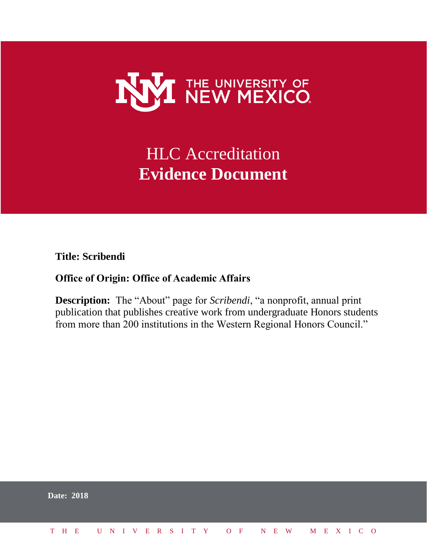

# HLC Accreditation **Evidence Document**

**Title: Scribendi**

## **Office of Origin: Office of Academic Affairs**

**Description:** The "About" page for *Scribendi*, "a nonprofit, annual print publication that publishes creative work from undergraduate Honors students from more than 200 institutions in the Western Regional Honors Council."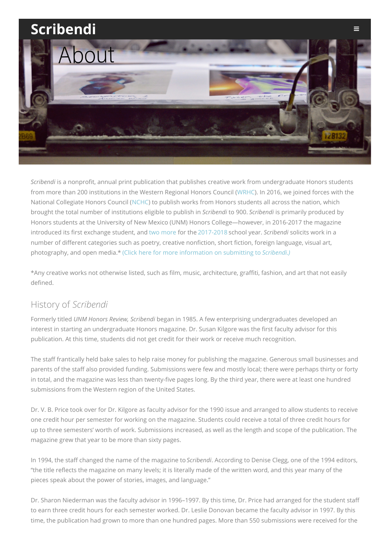

*Scribendi* is a nonprofit, annual print publication that publishes creative work from [undergraduate](http://scribendi.unm.edu/?page_id=2437) Honors students from more than 200 institutions in the Western Regional Honors Council ([WRHC](https://wrhcouncil.org/)). In 2016, we joined forces with the National Collegiate Honors Council ([NCHC](https://www.nchchonors.org/#home)) to publish works from Honors students all across the nation, which brought the total number of institutions eligible to publish in *Scribendi* to 900. *Scribendi* is primarily produced by Honors students at the University of New Mexico (UNM) Honors College—however, in 2016-2017 the magazine introduced its first exchange student, and two [more](http://scribendi.unm.edu/?p=3267) for the [2017-2018](http://scribendi.unm.edu/?p=3274) school year. *Scribendi* solicits work in a number of different categories such as poetry, creative nonfiction, short fiction, foreign language, visual art, photography, and open media.\* (Click here for more [information](http://scribendi.unm.edu/?page_id=36) on submitting to *Scribendi.)*

\*Any creative works not otherwise listed, such as film, music, architecture, graffiti, fashion, and art that not easily defined.

### History of *Scribendi*

Formerly titled *UNM Honors Review, Scribendi* began in 1985. A few enterprising undergraduates developed an interest in starting an undergraduate Honors magazine. Dr. Susan Kilgore was the first faculty advisor for this publication. At this time, students did not get credit for their work or receive much recognition.

The staff frantically held bake sales to help raise money for publishing the magazine. Generous small businesses and parents of the staff also provided funding. Submissions were few and mostly local; there were perhaps thirty or forty in total, and the magazine was less than twenty-five pages long. By the third year, there were at least one hundred submissions from the Western region of the United States.

Dr. V. B. Price took over for Dr. Kilgore as faculty advisor for the 1990 issue and arranged to allow students to receive one credit hour per semester for working on the magazine. Students could receive a total of three credit hours for up to three semesters' worth of work. Submissions increased, as well as the length and scope of the publication. The magazine grew that year to be more than sixty pages.

In 1994, the staff changed the name of the magazine to *Scribendi*. According to Denise Clegg, one of the 1994 editors, "the title reflects the magazine on many levels; it is literally made of the written word, and this year many of the pieces speak about the power of stories, images, and language."

Dr. Sharon Niederman was the faculty advisor in 1996–1997. By this time, Dr. Price had arranged for the student staff to earn three credit hours for each semester worked. Dr. Leslie Donovan became the faculty advisor in 1997. By this time, the publication had grown to more than one hundred pages. More than 550 submissions were received for the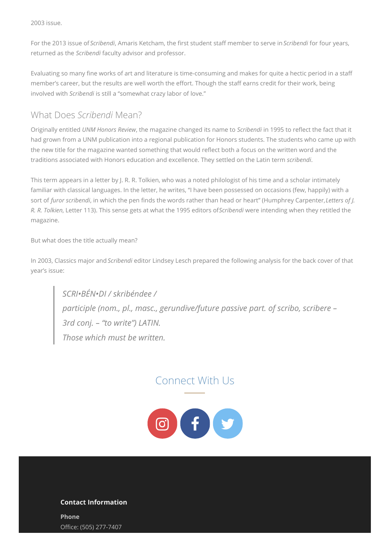2003 issue.

For the 2013 issue of *Scribendi*, Amaris Ketcham, the first student staff member to serve in *Scribendi* for four years, returned as the *Scribendi* faculty advisor and professor.

Evaluating so many fine works of art and literature is time-consuming and makes for quite a hectic period in a staff member's career, but the results are well worth the effort. Though the staff earns credit for their work, being involved with *Scribendi* is still a "somewhat crazy labor of love."

### What Does *Scribendi* Mean?

Originally entitled *UNM Honors Review*, the magazine changed its name to *Scribendi* in 1995 to reflect the fact that it had grown from a UNM publication into a regional publication for Honors students. The students who came up with the new title for the magazine wanted something that would reflect both a focus on the written word and the traditions associated with Honors education and excellence. They settled on the Latin term *scribendi*.

This term appears in a letter by J. R. R. Tolkien, who was a noted philologist of his time and a scholar intimately familiar with classical languages. In the letter, he writes, "I have been possessed on occasions (few, happily) with a sort of *furor scribendi*, in which the pen finds the words rather than head or heart" (Humphrey Carpenter,*Letters of J. R. R. Tolkien*, Letter 113). This sense gets at what the 1995 editors of*Scribendi* were intending when they retitled the magazine.

But what does the title actually mean?

In 2003, Classics major and *Scribendi* editor Lindsey Lesch prepared the following analysis for the back cover of that year's issue:

*SCRI•BÉN•DI / skribéndee / participle (nom., pl., masc., gerundive/future passive part. of scribo, scribere – 3rd conj. – "to write") LATIN. Those which must be written.*

# Connect With Us



#### **Contact Information**

**Phone** Office: (505) 277-7407